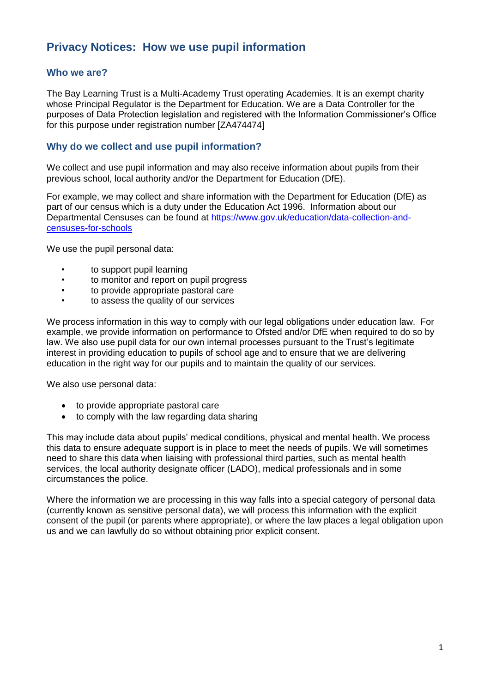# **Privacy Notices: How we use pupil information**

### **Who we are?**

The Bay Learning Trust is a Multi-Academy Trust operating Academies. It is an exempt charity whose Principal Regulator is the Department for Education. We are a Data Controller for the purposes of Data Protection legislation and registered with the Information Commissioner's Office for this purpose under registration number [ZA474474]

## **Why do we collect and use pupil information?**

We collect and use pupil information and may also receive information about pupils from their previous school, local authority and/or the Department for Education (DfE).

For example, we may collect and share information with the Department for Education (DfE) as part of our census which is a duty under the Education Act 1996. Information about our Departmental Censuses can be found at [https://www.gov.uk/education/data-collection-and](https://www.gov.uk/education/data-collection-and-censuses-for-schools)[censuses-for-schools](https://www.gov.uk/education/data-collection-and-censuses-for-schools)

We use the pupil personal data:

- to support pupil learning
- to monitor and report on pupil progress
- to provide appropriate pastoral care
- to assess the quality of our services

We process information in this way to comply with our legal obligations under education law. For example, we provide information on performance to Ofsted and/or DfE when required to do so by law. We also use pupil data for our own internal processes pursuant to the Trust's legitimate interest in providing education to pupils of school age and to ensure that we are delivering education in the right way for our pupils and to maintain the quality of our services.

We also use personal data:

- to provide appropriate pastoral care
- to comply with the law regarding data sharing

This may include data about pupils' medical conditions, physical and mental health. We process this data to ensure adequate support is in place to meet the needs of pupils. We will sometimes need to share this data when liaising with professional third parties, such as mental health services, the local authority designate officer (LADO), medical professionals and in some circumstances the police.

Where the information we are processing in this way falls into a special category of personal data (currently known as sensitive personal data), we will process this information with the explicit consent of the pupil (or parents where appropriate), or where the law places a legal obligation upon us and we can lawfully do so without obtaining prior explicit consent.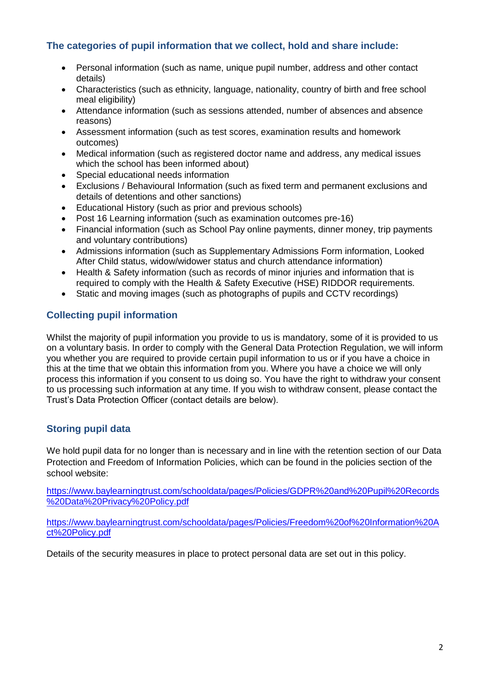# **The categories of pupil information that we collect, hold and share include:**

- Personal information (such as name, unique pupil number, address and other contact details)
- Characteristics (such as ethnicity, language, nationality, country of birth and free school meal eligibility)
- Attendance information (such as sessions attended, number of absences and absence reasons)
- Assessment information (such as test scores, examination results and homework outcomes)
- Medical information (such as registered doctor name and address, any medical issues which the school has been informed about)
- Special educational needs information
- Exclusions / Behavioural Information (such as fixed term and permanent exclusions and details of detentions and other sanctions)
- Educational History (such as prior and previous schools)
- Post 16 Learning information (such as examination outcomes pre-16)
- Financial information (such as School Pay online payments, dinner money, trip payments and voluntary contributions)
- Admissions information (such as Supplementary Admissions Form information, Looked After Child status, widow/widower status and church attendance information)
- Health & Safety information (such as records of minor injuries and information that is required to comply with the Health & Safety Executive (HSE) RIDDOR requirements.
- Static and moving images (such as photographs of pupils and CCTV recordings)

# **Collecting pupil information**

Whilst the majority of pupil information you provide to us is mandatory, some of it is provided to us on a voluntary basis. In order to comply with the General Data Protection Regulation, we will inform you whether you are required to provide certain pupil information to us or if you have a choice in this at the time that we obtain this information from you. Where you have a choice we will only process this information if you consent to us doing so. You have the right to withdraw your consent to us processing such information at any time. If you wish to withdraw consent, please contact the Trust's Data Protection Officer (contact details are below).

# **Storing pupil data**

We hold pupil data for no longer than is necessary and in line with the retention section of our Data Protection and Freedom of Information Policies, which can be found in the policies section of the school website:

[https://www.baylearningtrust.com/schooldata/pages/Policies/GDPR%20and%20Pupil%20Records](https://www.baylearningtrust.com/schooldata/pages/Policies/GDPR%20and%20Pupil%20Records%20Data%20Privacy%20Policy.pdf) [%20Data%20Privacy%20Policy.pdf](https://www.baylearningtrust.com/schooldata/pages/Policies/GDPR%20and%20Pupil%20Records%20Data%20Privacy%20Policy.pdf)

[https://www.baylearningtrust.com/schooldata/pages/Policies/Freedom%20of%20Information%20A](https://www.baylearningtrust.com/schooldata/pages/Policies/Freedom%20of%20Information%20Act%20Policy.pdf) [ct%20Policy.pdf](https://www.baylearningtrust.com/schooldata/pages/Policies/Freedom%20of%20Information%20Act%20Policy.pdf)

Details of the security measures in place to protect personal data are set out in this policy.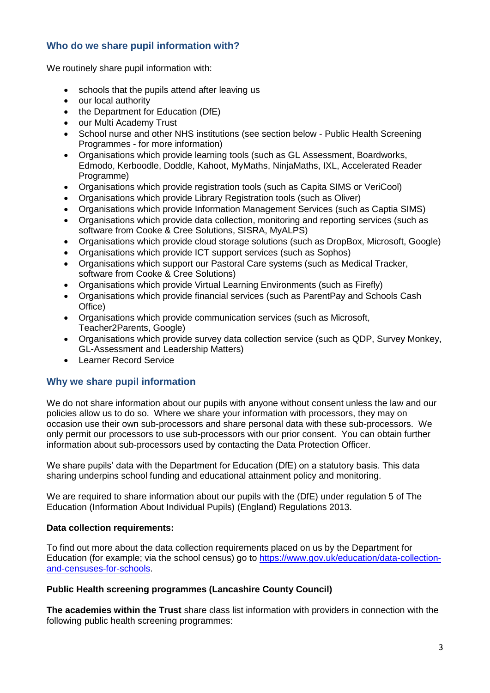# **Who do we share pupil information with?**

We routinely share pupil information with:

- schools that the pupils attend after leaving us
- our local authority
- the Department for Education (DfE)
- our Multi Academy Trust
- School nurse and other NHS institutions (see section below Public Health Screening Programmes - for more information)
- Organisations which provide learning tools (such as GL Assessment, Boardworks, Edmodo, Kerboodle, Doddle, Kahoot, MyMaths, NinjaMaths, IXL, Accelerated Reader Programme)
- Organisations which provide registration tools (such as Capita SIMS or VeriCool)
- Organisations which provide Library Registration tools (such as Oliver)
- Organisations which provide Information Management Services (such as Captia SIMS)
- Organisations which provide data collection, monitoring and reporting services (such as software from Cooke & Cree Solutions, SISRA, MyALPS)
- Organisations which provide cloud storage solutions (such as DropBox, Microsoft, Google)
- Organisations which provide ICT support services (such as Sophos)
- Organisations which support our Pastoral Care systems (such as Medical Tracker, software from Cooke & Cree Solutions)
- Organisations which provide Virtual Learning Environments (such as Firefly)
- Organisations which provide financial services (such as ParentPay and Schools Cash Office)
- Organisations which provide communication services (such as Microsoft, Teacher2Parents, Google)
- Organisations which provide survey data collection service (such as QDP, Survey Monkey, GL-Assessment and Leadership Matters)
- Learner Record Service

# **Why we share pupil information**

We do not share information about our pupils with anyone without consent unless the law and our policies allow us to do so. Where we share your information with processors, they may on occasion use their own sub-processors and share personal data with these sub-processors. We only permit our processors to use sub-processors with our prior consent. You can obtain further information about sub-processors used by contacting the Data Protection Officer.

We share pupils' data with the Department for Education (DfE) on a statutory basis. This data sharing underpins school funding and educational attainment policy and monitoring.

We are required to share information about our pupils with the (DfE) under regulation 5 of The Education (Information About Individual Pupils) (England) Regulations 2013.

## **Data collection requirements:**

To find out more about the data collection requirements placed on us by the Department for Education (for example; via the school census) go to [https://www.gov.uk/education/data-collection](https://www.gov.uk/education/data-collection-and-censuses-for-schools)[and-censuses-for-schools.](https://www.gov.uk/education/data-collection-and-censuses-for-schools)

## **Public Health screening programmes (Lancashire County Council)**

**The academies within the Trust** share class list information with providers in connection with the following public health screening programmes: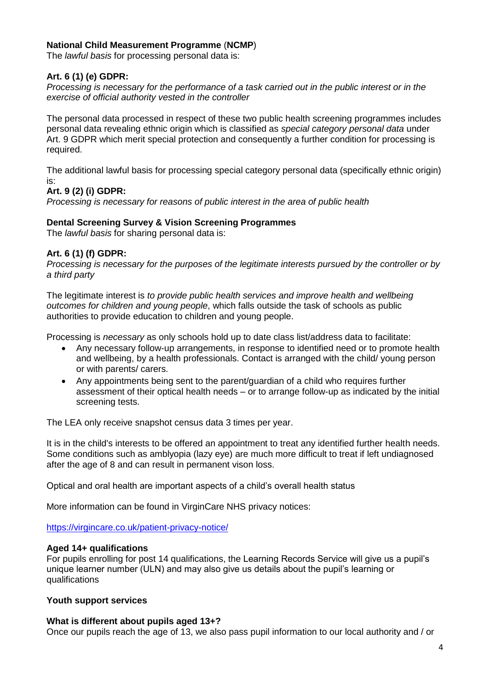#### **National Child Measurement Programme** (**NCMP**)

The *lawful basis* for processing personal data is:

#### **Art. 6 (1) (e) GDPR:**

*Processing is necessary for the performance of a task carried out in the public interest or in the exercise of official authority vested in the controller* 

The personal data processed in respect of these two public health screening programmes includes personal data revealing ethnic origin which is classified as *special category personal data* under Art. 9 GDPR which merit special protection and consequently a further condition for processing is required.

The additional lawful basis for processing special category personal data (specifically ethnic origin) is:

#### **Art. 9 (2) (i) GDPR:**

*Processing is necessary for reasons of public interest in the area of public health* 

#### **Dental Screening Survey & Vision Screening Programmes**

The *lawful basis* for sharing personal data is:

#### **Art. 6 (1) (f) GDPR:**

*Processing is necessary for the purposes of the legitimate interests pursued by the controller or by a third party* 

The legitimate interest is *to provide public health services and improve health and wellbeing outcomes for children and young people*, which falls outside the task of schools as public authorities to provide education to children and young people.

Processing is *necessary* as only schools hold up to date class list/address data to facilitate:

- Any necessary follow-up arrangements, in response to identified need or to promote health and wellbeing, by a health professionals. Contact is arranged with the child/ young person or with parents/ carers.
- Any appointments being sent to the parent/guardian of a child who requires further assessment of their optical health needs – or to arrange follow-up as indicated by the initial screening tests.

The LEA only receive snapshot census data 3 times per year.

It is in the child's interests to be offered an appointment to treat any identified further health needs. Some conditions such as amblyopia (lazy eye) are much more difficult to treat if left undiagnosed after the age of 8 and can result in permanent vison loss.

Optical and oral health are important aspects of a child's overall health status

More information can be found in VirginCare NHS privacy notices:

<https://virgincare.co.uk/patient-privacy-notice/>

#### **Aged 14+ qualifications**

For pupils enrolling for post 14 qualifications, the Learning Records Service will give us a pupil's unique learner number (ULN) and may also give us details about the pupil's learning or qualifications

#### **Youth support services**

#### **What is different about pupils aged 13+?**

Once our pupils reach the age of 13, we also pass pupil information to our local authority and / or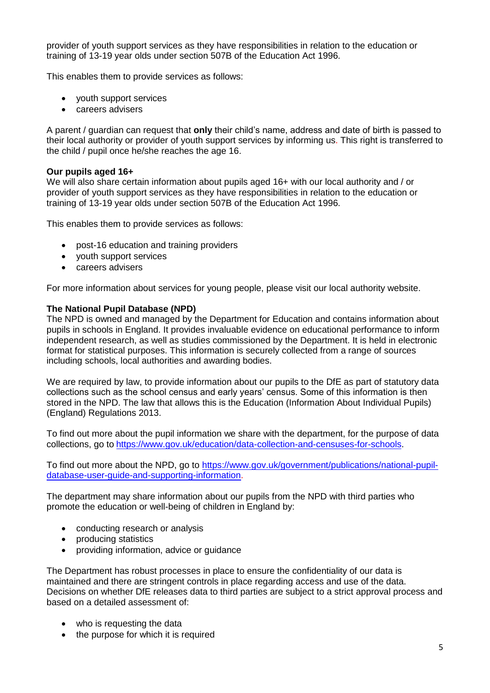provider of youth support services as they have responsibilities in relation to the education or training of 13-19 year olds under section 507B of the Education Act 1996.

This enables them to provide services as follows:

- vouth support services
- **Careers advisers**

A parent / guardian can request that **only** their child's name, address and date of birth is passed to their local authority or provider of youth support services by informing us. This right is transferred to the child / pupil once he/she reaches the age 16.

#### **Our pupils aged 16+**

We will also share certain information about pupils aged 16+ with our local authority and / or provider of youth support services as they have responsibilities in relation to the education or training of 13-19 year olds under section 507B of the Education Act 1996.

This enables them to provide services as follows:

- post-16 education and training providers
- vouth support services
- careers advisers

For more information about services for young people, please visit our local authority website.

#### **The National Pupil Database (NPD)**

The NPD is owned and managed by the Department for Education and contains information about pupils in schools in England. It provides invaluable evidence on educational performance to inform independent research, as well as studies commissioned by the Department. It is held in electronic format for statistical purposes. This information is securely collected from a range of sources including schools, local authorities and awarding bodies.

We are required by law, to provide information about our pupils to the DfE as part of statutory data collections such as the school census and early years' census. Some of this information is then stored in the NPD. The law that allows this is the Education (Information About Individual Pupils) (England) Regulations 2013.

To find out more about the pupil information we share with the department, for the purpose of data collections, go to [https://www.gov.uk/education/data-collection-and-censuses-for-schools.](https://www.gov.uk/education/data-collection-and-censuses-for-schools)

To find out more about the NPD, go to [https://www.gov.uk/government/publications/national-pupil](https://www.gov.uk/government/publications/national-pupil-database-user-guide-and-supporting-information)[database-user-guide-and-supporting-information.](https://www.gov.uk/government/publications/national-pupil-database-user-guide-and-supporting-information)

The department may share information about our pupils from the NPD with third parties who promote the education or well-being of children in England by:

- conducting research or analysis
- producing statistics
- providing information, advice or guidance

The Department has robust processes in place to ensure the confidentiality of our data is maintained and there are stringent controls in place regarding access and use of the data. Decisions on whether DfE releases data to third parties are subject to a strict approval process and based on a detailed assessment of:

- who is requesting the data
- the purpose for which it is required